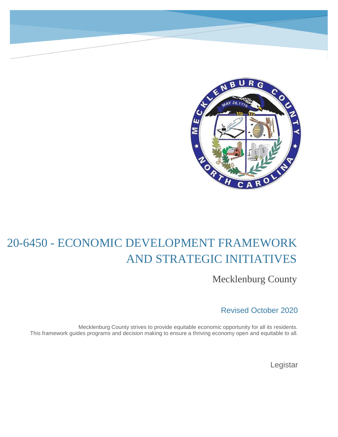

# 20-6450 - ECONOMIC DEVELOPMENT FRAMEWORK AND STRATEGIC INITIATIVES

Mecklenburg County

Revised October 2020

Mecklenburg County strives to provide equitable economic opportunity for all its residents. This framework guides programs and decision making to ensure a thriving economy open and equitable to all.

Legistar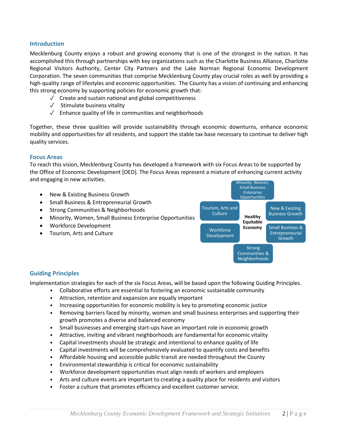## **Introduction**

Mecklenburg County enjoys a robust and growing economy that is one of the strongest in the nation. It has accomplished this through partnerships with key organizations such as the Charlotte Business Alliance, Charlotte Regional Visitors Authority, Center City Partners and the Lake Norman Regional Economic Development Corporation. The seven communities that comprise Mecklenburg County play crucial roles as well by providing a high-quality range of lifestyles and economic opportunities. The County has a vision of continuing and enhancing this strong economy by supporting policies for economic growth that:

- ✓ Create and sustain national and global competitiveness
- ✓ Stimulate business vitality
- $\sqrt{\phantom{a}}$  Enhance quality of life in communities and neighborhoods

Together, these three qualities will provide sustainability through economic downturns, enhance economic mobility and opportunities for all residents, and support the stable tax base necessary to continue to deliver high quality services.

## **Focus Areas**

To reach this vision, Mecklenburg County has developed a framework with six Focus Areas to be supported by the Office of Economic Development [OED]. The Focus Areas represent a mixture of enhancing current activity and engaging in new activities.



# **Guiding Principles**

Implementation strategies for each of the six Focus Areas, will be based upon the following Guiding Principles.

- Collaborative efforts are essential to fostering an economic sustainable community
- Attraction, retention and expansion are equally important
- Increasing opportunities for economic mobility is key to promoting economic justice
- Removing barriers faced by minority, women and small business enterprises and supporting their growth promotes a diverse and balanced economy
- Small businesses and emerging start-ups have an important role in economic growth
- Attractive, inviting and vibrant neighborhoods are fundamental for economic vitality
- Capital investments should be strategic and intentional to enhance quality of life
- Capital investments will be comprehensively evaluated to quantify costs and benefits
- Affordable housing and accessible public transit are needed throughout the County
- Environmental stewardship is critical for economic sustainability
- Workforce development opportunities must align needs of workers and employers
- Arts and culture events are important to creating a quality place for residents and visitors
- Foster a culture that promotes efficiency and excellent customer service.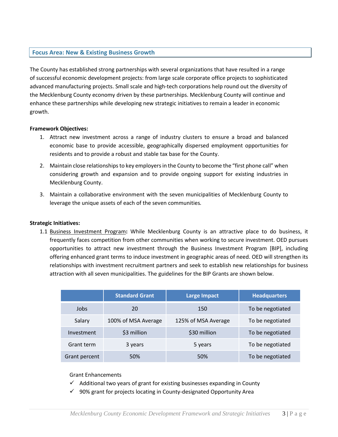# **Focus Area: New & Existing Business Growth**

The County has established strong partnerships with several organizations that have resulted in a range of successful economic development projects: from large scale corporate office projects to sophisticated advanced manufacturing projects. Small scale and high-tech corporations help round out the diversity of the Mecklenburg County economy driven by these partnerships. Mecklenburg County will continue and enhance these partnerships while developing new strategic initiatives to remain a leader in economic growth.

#### **Framework Objectives:**

- 1. Attract new investment across a range of industry clusters to ensure a broad and balanced economic base to provide accessible, geographically dispersed employment opportunities for residents and to provide a robust and stable tax base for the County.
- 2. Maintain close relationshipsto key employersin the County to become the "first phone call" when considering growth and expansion and to provide ongoing support for existing industries in Mecklenburg County.
- 3. Maintain a collaborative environment with the seven municipalities of Mecklenburg County to leverage the unique assets of each of the seven communities*.*

## **Strategic Initiatives:**

1.1 Business Investment Program**:** While Mecklenburg County is an attractive place to do business, it frequently faces competition from other communities when working to secure investment. OED pursues opportunities to attract new investment through the Business Investment Program [BIP], including offering enhanced grant terms to induce investment in geographic areas of need. OED will strengthen its relationships with investment recruitment partners and seek to establish new relationships for business attraction with all seven municipalities. The guidelines for the BIP Grants are shown below.

|               | <b>Standard Grant</b> | <b>Large Impact</b> | <b>Headquarters</b> |
|---------------|-----------------------|---------------------|---------------------|
| Jobs          | 20                    | 150                 | To be negotiated    |
| Salary        | 100% of MSA Average   | 125% of MSA Average | To be negotiated    |
| Investment    | \$3 million           | \$30 million        | To be negotiated    |
| Grant term    | 3 years               | 5 years             | To be negotiated    |
| Grant percent | 50%                   | 50%                 | To be negotiated    |

Grant Enhancements

- $\checkmark$  Additional two years of grant for existing businesses expanding in County
- $\checkmark$  90% grant for projects locating in County-designated Opportunity Area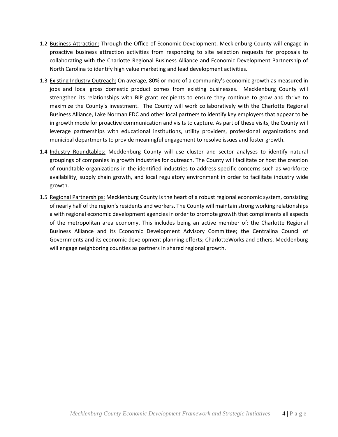- 1.2 Business Attraction: Through the Office of Economic Development, Mecklenburg County will engage in proactive business attraction activities from responding to site selection requests for proposals to collaborating with the Charlotte Regional Business Alliance and Economic Development Partnership of North Carolina to identify high value marketing and lead development activities.
- 1.3 Existing Industry Outreach: On average, 80% or more of a community's economic growth as measured in jobs and local gross domestic product comes from existing businesses. Mecklenburg County will strengthen its relationships with BIP grant recipients to ensure they continue to grow and thrive to maximize the County's investment. The County will work collaboratively with the Charlotte Regional Business Alliance, Lake Norman EDC and other local partners to identify key employers that appear to be in growth mode for proactive communication and visits to capture. As part of these visits, the County will leverage partnerships with educational institutions, utility providers, professional organizations and municipal departments to provide meaningful engagement to resolve issues and foster growth.
- 1.4 Industry Roundtables: Mecklenburg County will use cluster and sector analyses to identify natural groupings of companies in growth industries for outreach. The County will facilitate or host the creation of roundtable organizations in the identified industries to address specific concerns such as workforce availability, supply chain growth, and local regulatory environment in order to facilitate industry wide growth.
- 1.5 Regional Partnerships: Mecklenburg County is the heart of a robust regional economic system, consisting of nearly half of the region's residents and workers. The County will maintain strong working relationships a with regional economic development agencies in order to promote growth that compliments all aspects of the metropolitan area economy. This includes being an active member of: the Charlotte Regional Business Alliance and its Economic Development Advisory Committee; the Centralina Council of Governments and its economic development planning efforts; CharlotteWorks and others. Mecklenburg will engage neighboring counties as partners in shared regional growth.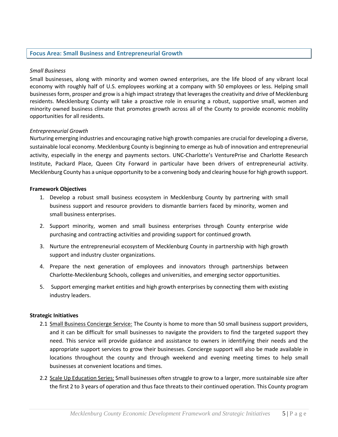## **Focus Area: Small Business and Entrepreneurial Growth**

#### *Small Business*

Small businesses, along with minority and women owned enterprises, are the life blood of any vibrant local economy with roughly half of U.S. employees working at a company with 50 employees or less. Helping small businesses form, prosper and grow is a high impact strategy that leverages the creativity and drive of Mecklenburg residents. Mecklenburg County will take a proactive role in ensuring a robust, supportive small, women and minority owned business climate that promotes growth across all of the County to provide economic mobility opportunities for all residents.

## *Entrepreneurial Growth*

Nurturing emerging industries and encouraging native high growth companies are crucial for developing a diverse, sustainable local economy. Mecklenburg County is beginning to emerge as hub of innovation and entrepreneurial activity, especially in the energy and payments sectors. UNC-Charlotte's VenturePrise and Charlotte Research Institute, Packard Place, Queen City Forward in particular have been drivers of entrepreneurial activity. Mecklenburg County has a unique opportunity to be a convening body and clearing house for high growth support.

#### **Framework Objectives**

- 1. Develop a robust small business ecosystem in Mecklenburg County by partnering with small business support and resource providers to dismantle barriers faced by minority, women and small business enterprises.
- 2. Support minority, women and small business enterprises through County enterprise wide purchasing and contracting activities and providing support for continued growth*.*
- 3. Nurture the entrepreneurial ecosystem of Mecklenburg County in partnership with high growth support and industry cluster organizations.
- 4. Prepare the next generation of employees and innovators through partnerships between Charlotte-Mecklenburg Schools, colleges and universities, and emerging sector opportunities.
- 5. Support emerging market entities and high growth enterprises by connecting them with existing industry leaders.

#### **Strategic Initiatives**

- 2.1 Small Business Concierge Service: The County is home to more than 50 small business support providers, and it can be difficult for small businesses to navigate the providers to find the targeted support they need. This service will provide guidance and assistance to owners in identifying their needs and the appropriate support services to grow their businesses. Concierge support will also be made available in locations throughout the county and through weekend and evening meeting times to help small businesses at convenient locations and times.
- 2.2 Scale Up Education Series: Small businesses often struggle to grow to a larger, more sustainable size after the first 2 to 3 years of operation and thus face threats to their continued operation. This County program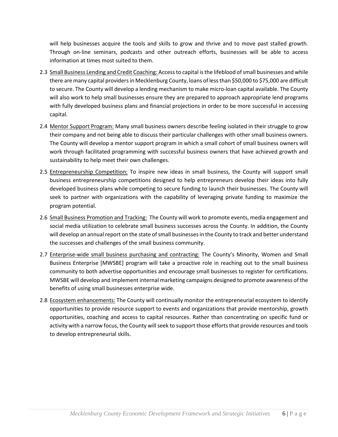will help businesses acquire the tools and skills to grow and thrive and to move past stalled growth. Through on-line seminars, podcasts and other outreach efforts, businesses will be able to access information at times most suited to them.

- 2.3 Small Business Lending and Credit Coaching: Accessto capital isthe lifeblood ofsmall businesses and while there are many capital providers in Mecklenburg County, loans of less than \$50,000 to \$75,000 are difficult to secure. The County will develop a lending mechanism to make micro-loan capital available. The County will also work to help small businesses ensure they are prepared to approach appropriate lend programs with fully developed business plans and financial projections in order to be more successful in accessing capital.
- 2.4 Mentor Support Program: Many small business owners describe feeling isolated in their struggle to grow their company and not being able to discuss their particular challenges with other small business owners. The County will develop a mentor support program in which a small cohort of small business owners will work through facilitated programming with successful business owners that have achieved growth and sustainability to help meet their own challenges.
- 2.5 Entrepreneurship Competition: To inspire new ideas in small business, the County will support small business entrepreneurship competitions designed to help entrepreneurs develop their ideas into fully developed business plans while competing to secure funding to launch their businesses. The County will seek to partner with organizations with the capability of leveraging private funding to maximize the program potential.
- 2.6 Small Business Promotion and Tracking: The County will work to promote events, media engagement and social media utilization to celebrate small business successes across the County. In addition, the County will develop an annual report on the state of small businesses in the County to track and better understand the successes and challenges of the small business community.
- 2.7 Enterprise-wide small business purchasing and contracting: The County's Minority, Women and Small Business Enterprise [MWSBE] program will take a proactive role in reaching out to the small business community to both advertise opportunities and encourage small businesses to register for certifications. MWSBE will develop and implement internal marketing campaigns designed to promote awareness of the benefits of using small businesses enterprise wide.
- 2.8 Ecosystem enhancements: The County will continually monitor the entrepreneurial ecosystem to identify opportunities to provide resource support to events and organizations that provide mentorship, growth opportunities, coaching and access to capital resources. Rather than concentrating on specific fund or activity with a narrow focus, the County will seek to support those efforts that provide resources and tools to develop entrepreneurial skills.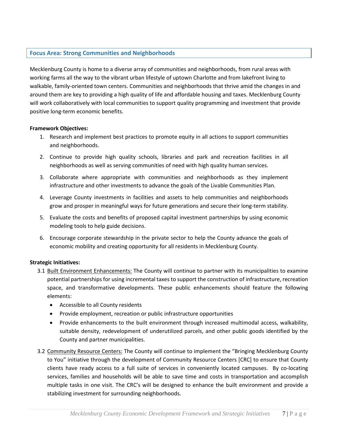# **Focus Area: Strong Communities and Neighborhoods**

Mecklenburg County is home to a diverse array of communities and neighborhoods, from rural areas with working farms all the way to the vibrant urban lifestyle of uptown Charlotte and from lakefront living to walkable, family-oriented town centers. Communities and neighborhoods that thrive amid the changes in and around them are key to providing a high quality of life and affordable housing and taxes. Mecklenburg County will work collaboratively with local communities to support quality programming and investment that provide positive long-term economic benefits.

## **Framework Objectives:**

- 1. Research and implement best practices to promote equity in all actions to support communities and neighborhoods.
- 2. Continue to provide high quality schools, libraries and park and recreation facilities in all neighborhoods as well as serving communities of need with high quality human services.
- 3. Collaborate where appropriate with communities and neighborhoods as they implement infrastructure and other investments to advance the goals of the Livable Communities Plan.
- 4. Leverage County investments in facilities and assets to help communities and neighborhoods grow and prosper in meaningful ways for future generations and secure their long-term stability.
- 5. Evaluate the costs and benefits of proposed capital investment partnerships by using economic modeling tools to help guide decisions.
- 6. Encourage corporate stewardship in the private sector to help the County advance the goals of economic mobility and creating opportunity for all residents in Mecklenburg County.

## **Strategic Initiatives:**

- 3.1 Built Environment Enhancements: The County will continue to partner with its municipalities to examine potential partnerships for using incremental taxes to support the construction of infrastructure, recreation space, and transformative developments. These public enhancements should feature the following elements:
	- Accessible to all County residents
	- Provide employment, recreation or public infrastructure opportunities
	- Provide enhancements to the built environment through increased multimodal access, walkability, suitable density, redevelopment of underutilized parcels, and other public goods identified by the County and partner municipalities.
- 3.2 Community Resource Centers: The County will continue to implement the "Bringing Mecklenburg County to You" initiative through the development of Community Resource Centers [CRC] to ensure that County clients have ready access to a full suite of services in conveniently located campuses. By co-locating services, families and households will be able to save time and costs in transportation and accomplish multiple tasks in one visit. The CRC's will be designed to enhance the built environment and provide a stabilizing investment for surrounding neighborhoods.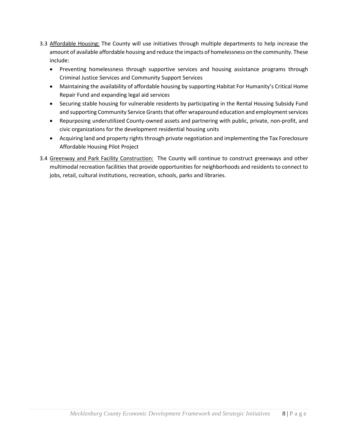- 3.3 Affordable Housing: The County will use initiatives through multiple departments to help increase the amount of available affordable housing and reduce the impacts of homelessness on the community. These include:
	- Preventing homelessness through supportive services and housing assistance programs through Criminal Justice Services and Community Support Services
	- Maintaining the availability of affordable housing by supporting Habitat For Humanity's Critical Home Repair Fund and expanding legal aid services
	- Securing stable housing for vulnerable residents by participating in the Rental Housing Subsidy Fund and supporting Community Service Grants that offer wraparound education and employment services
	- Repurposing underutilized County-owned assets and partnering with public, private, non-profit, and civic organizations for the development residential housing units
	- Acquiring land and property rights through private negotiation and implementing the Tax Foreclosure Affordable Housing Pilot Project
- 3.4 Greenway and Park Facility Construction: The County will continue to construct greenways and other multimodal recreation facilities that provide opportunities for neighborhoods and residents to connect to jobs, retail, cultural institutions, recreation, schools, parks and libraries.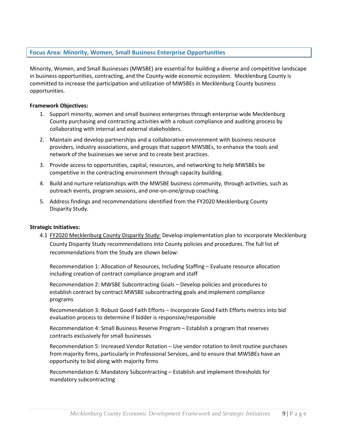# **Focus Area: Minority, Women, Small Business Enterprise Opportunities**

Minority, Women, and Small Businesses (MWSBE) are essential for building a diverse and competitive landscape in business opportunities, contracting, and the County-wide economic ecosystem. Mecklenburg County is committed to increase the participation and utilization of MWSBEs in Mecklenburg County business opportunities.

#### **Framework Objectives:**

- 1. Support minority, women and small business enterprises through enterprise wide Mecklenburg County purchasing and contracting activities with a robust compliance and auditing process by collaborating with internal and external stakeholders.
- 2. Maintain and develop partnerships and a collaborative environment with business resource providers, industry associations, and groups that support MWSBEs, to enhance the tools and network of the businesses we serve and to create best practices.
- 3. Provide access to opportunities, capital, resources, and networking to help MWSBEs be competitive in the contracting environment through capacity building.
- 4. Build and nurture relationships with the MWSBE business community, through activities, such as outreach events, program sessions, and one-on-one/group coaching.
- 5. Address findings and recommendations identified from the FY2020 Mecklenburg County Disparity Study.

#### **Strategic Initiatives:**

4.1 FY2020 Mecklenburg County Disparity Study: Develop implementation plan to incorporate Mecklenburg County Disparity Study recommendations into County policies and procedures. The full list of recommendations from the Study are shown below:

Recommendation 1: Allocation of Resources, Including Staffing – Evaluate resource allocation including creation of contract compliance program and staff

Recommendation 2: MWSBE Subcontracting Goals – Develop policies and procedures to establish contract by contract MWSBE subcontracting goals and implement compliance programs

Recommendation 3: Robust Good Faith Efforts – Incorporate Good Faith Efforts metrics into bid evaluation process to determine if bidder is responsive/responsible

Recommendation 4: Small Business Reserve Program – Establish a program that reserves contracts exclusively for small businesses

Recommendation 5: Increased Vendor Rotation – Use vendor rotation to limit routine purchases from majority firms, particularly in Professional Services, and to ensure that MWSBEs have an opportunity to bid along with majority firms

Recommendation 6: Mandatory Subcontracting – Establish and implement thresholds for mandatory subcontracting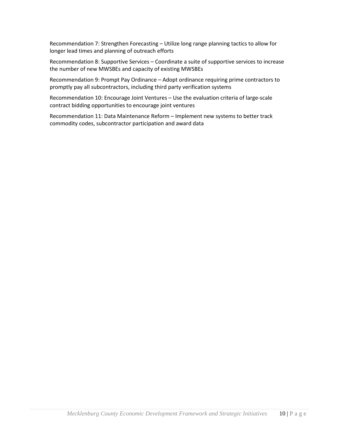Recommendation 7: Strengthen Forecasting – Utilize long range planning tactics to allow for longer lead times and planning of outreach efforts

Recommendation 8: Supportive Services – Coordinate a suite of supportive services to increase the number of new MWSBEs and capacity of existing MWSBEs

Recommendation 9: Prompt Pay Ordinance – Adopt ordinance requiring prime contractors to promptly pay all subcontractors, including third party verification systems

Recommendation 10: Encourage Joint Ventures – Use the evaluation criteria of large-scale contract bidding opportunities to encourage joint ventures

Recommendation 11: Data Maintenance Reform – Implement new systems to better track commodity codes, subcontractor participation and award data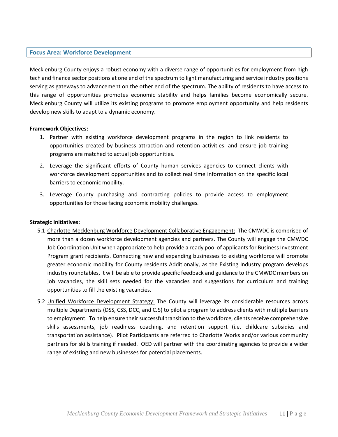## **Focus Area: Workforce Development**

Mecklenburg County enjoys a robust economy with a diverse range of opportunities for employment from high tech and finance sector positions at one end of the spectrum to light manufacturing and service industry positions serving as gateways to advancement on the other end of the spectrum. The ability of residents to have access to this range of opportunities promotes economic stability and helps families become economically secure. Mecklenburg County will utilize its existing programs to promote employment opportunity and help residents develop new skills to adapt to a dynamic economy.

## **Framework Objectives:**

- 1. Partner with existing workforce development programs in the region to link residents to opportunities created by business attraction and retention activities. and ensure job training programs are matched to actual job opportunities.
- 2. Leverage the significant efforts of County human services agencies to connect clients with workforce development opportunities and to collect real time information on the specific local barriers to economic mobility.
- 3. Leverage County purchasing and contracting policies to provide access to employment opportunities for those facing economic mobility challenges*.*

## **Strategic Initiatives:**

- 5.1 Charlotte-Mecklenburg Workforce Development Collaborative Engagement: The CMWDC is comprised of more than a dozen workforce development agencies and partners. The County will engage the CMWDC Job Coordination Unit when appropriate to help provide a ready pool of applicants for Business Investment Program grant recipients. Connecting new and expanding businesses to existing workforce will promote greater economic mobility for County residents Additionally, as the Existing Industry program develops industry roundtables, it will be able to provide specific feedback and guidance to the CMWDC members on job vacancies, the skill sets needed for the vacancies and suggestions for curriculum and training opportunities to fill the existing vacancies.
- 5.2 Unified Workforce Development Strategy: The County will leverage its considerable resources across multiple Departments (DSS, CSS, DCC, and CJS) to pilot a program to address clients with multiple barriers to employment. To help ensure their successful transition to the workforce, clients receive comprehensive skills assessments, job readiness coaching, and retention support (i.e. childcare subsidies and transportation assistance). Pilot Participants are referred to Charlotte Works and/or various community partners for skills training if needed. OED will partner with the coordinating agencies to provide a wider range of existing and new businesses for potential placements.